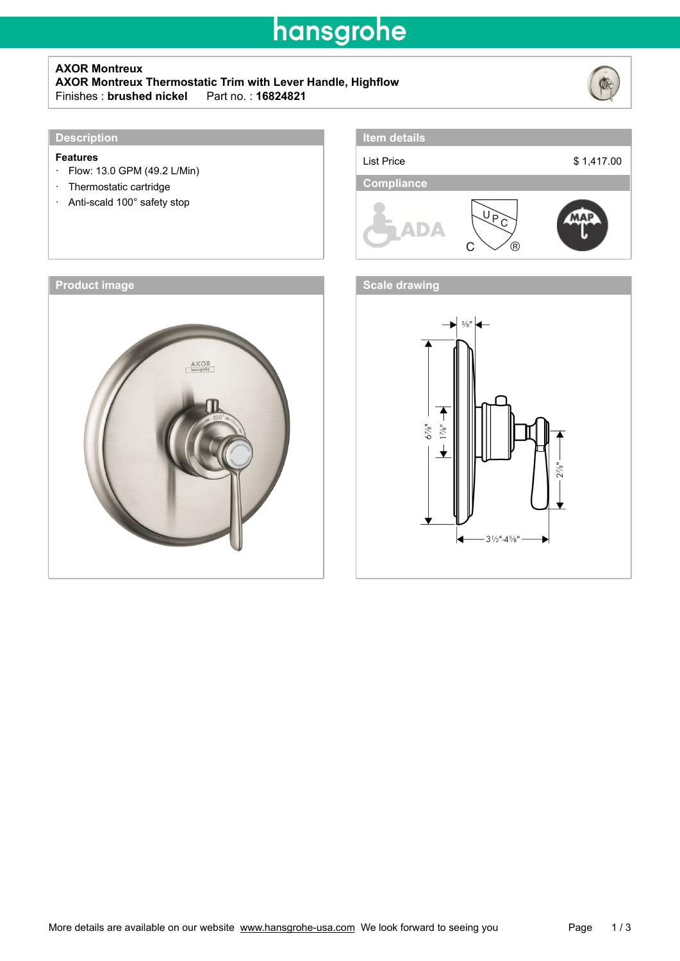## hansgrohe

### **AXOR Montreux**

**AXOR Montreux Thermostatic Trim with Lever Handle, Highflow** Finishes : **brushed nickel**\_\_\_Part no. : **16824821**



#### **Features**

- · Flow: 13.0 GPM (49.2 L/Min)
- · Thermostatic cartridge
- · Anti-scald 100° safety stop





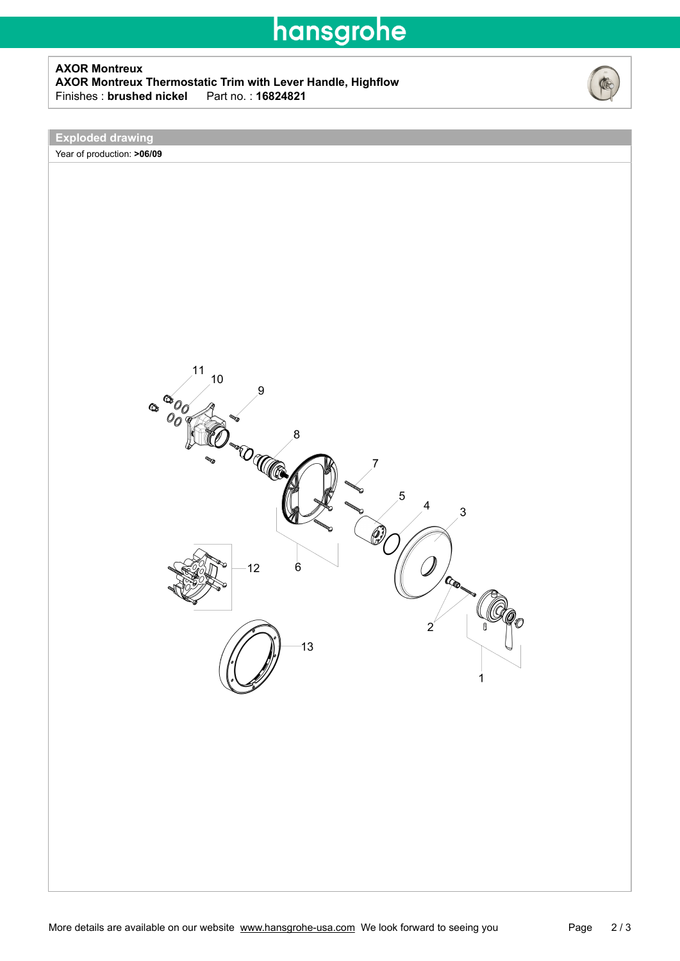## hansgrohe

#### **AXOR Montreux AXOR Montreux Thermostatic Trim with Lever Handle, Highflow** Finishes : **brushed nickel**



**Exploded drawing**

Year of production: **>06/09**